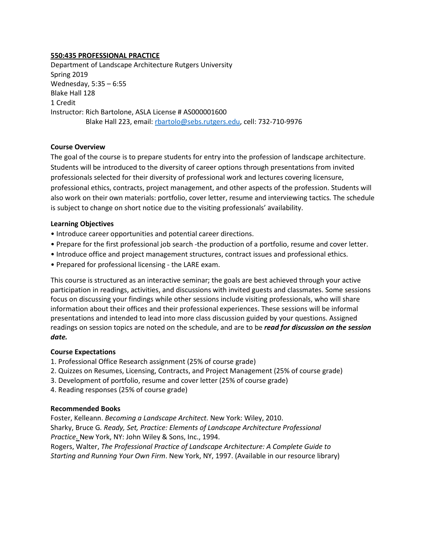### **550:435 PROFESSIONAL PRACTICE**

Department of Landscape Architecture Rutgers University Spring 2019 Wednesday, 5:35 – 6:55 Blake Hall 128 1 Credit Instructor: Rich Bartolone, ASLA License # AS000001600 Blake Hall 223, email: [rbartolo@sebs.rutgers.edu,](mailto:rbartolo@sebs.rutgers.edu) cell: 732-710-9976

### **Course Overview**

The goal of the course is to prepare students for entry into the profession of landscape architecture. Students will be introduced to the diversity of career options through presentations from invited professionals selected for their diversity of professional work and lectures covering licensure, professional ethics, contracts, project management, and other aspects of the profession. Students will also work on their own materials: portfolio, cover letter, resume and interviewing tactics*.* The schedule is subject to change on short notice due to the visiting professionals' availability.

### **Learning Objectives**

- Introduce career opportunities and potential career directions.
- Prepare for the first professional job search -the production of a portfolio, resume and cover letter.
- Introduce office and project management structures, contract issues and professional ethics.
- Prepared for professional licensing the LARE exam.

This course is structured as an interactive seminar; the goals are best achieved through your active participation in readings, activities, and discussions with invited guests and classmates. Some sessions focus on discussing your findings while other sessions include visiting professionals, who will share information about their offices and their professional experiences. These sessions will be informal presentations and intended to lead into more class discussion guided by your questions. Assigned readings on session topics are noted on the schedule, and are to be *read for discussion on the session date.* 

#### **Course Expectations**

- 1. Professional Office Research assignment (25% of course grade)
- 2. Quizzes on Resumes, Licensing, Contracts, and Project Management (25% of course grade)
- 3. Development of portfolio, resume and cover letter (25% of course grade)
- 4. Reading responses (25% of course grade)

#### **Recommended Books**

Foster, Kelleann. *Becoming a Landscape Architect.* New York: Wiley, 2010. Sharky, Bruce G*. Ready, Set, Practice: Elements of Landscape Architecture Professional Practice*. New York, NY: John Wiley & Sons, Inc., 1994. Rogers, Walter, *The Professional Practice of Landscape Architecture: A Complete Guide to Starting and Running Your Own Firm*. New York, NY, 1997. (Available in our resource library)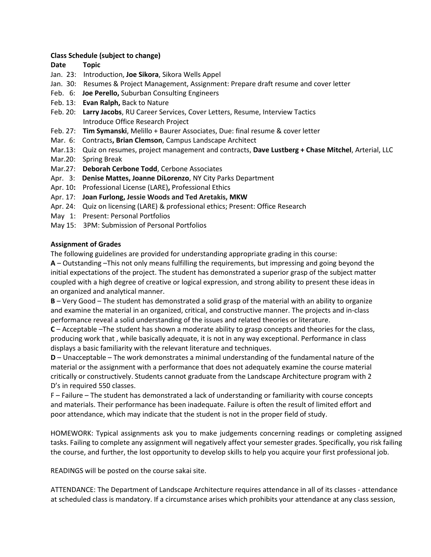### **Class Schedule (subject to change)**

## **Date Topic**

- Jan. 23: Introduction, **Joe Sikora**, Sikora Wells Appel
- Jan. 30: Resumes & Project Management, Assignment: Prepare draft resume and cover letter
- Feb. 6: **Joe Perello,** Suburban Consulting Engineers
- Feb. 13: **Evan Ralph,** Back to Nature
- Feb. 20: **Larry Jacobs**, RU Career Services, Cover Letters, Resume, Interview Tactics Introduce Office Research Project
- Feb. 27: **Tim Symanski**, Melillo + Baurer Associates, Due: final resume & cover letter
- Mar. 6: Contracts**, Brian Clemson**, Campus Landscape Architect
- Mar.13: Quiz on resumes, project management and contracts, **Dave Lustberg + Chase Mitchel**, Arterial, LLC
- Mar.20: Spring Break
- Mar.27: **Deborah Cerbone Todd**, Cerbone Associates
- Apr. 3: **Denise Mattes, Joanne DiLorenzo**, NY City Parks Department
- Apr. 10**:** Professional License (LARE)**,** Professional Ethics
- Apr. 17: **Joan Furlong, Jessie Woods and Ted Aretakis, MKW**
- Apr. 24: Quiz on licensing (LARE) & professional ethics; Present: Office Research
- May 1: Present: Personal Portfolios
- May 15: 3PM: Submission of Personal Portfolios

### **Assignment of Grades**

The following guidelines are provided for understanding appropriate grading in this course:

**A** – Outstanding –This not only means fulfilling the requirements, but impressing and going beyond the initial expectations of the project. The student has demonstrated a superior grasp of the subject matter coupled with a high degree of creative or logical expression, and strong ability to present these ideas in an organized and analytical manner.

**B** – Very Good – The student has demonstrated a solid grasp of the material with an ability to organize and examine the material in an organized, critical, and constructive manner. The projects and in-class performance reveal a solid understanding of the issues and related theories or literature.

**C** – Acceptable –The student has shown a moderate ability to grasp concepts and theories for the class, producing work that , while basically adequate, it is not in any way exceptional. Performance in class displays a basic familiarity with the relevant literature and techniques.

**D** – Unacceptable – The work demonstrates a minimal understanding of the fundamental nature of the material or the assignment with a performance that does not adequately examine the course material critically or constructively. Students cannot graduate from the Landscape Architecture program with 2 D's in required 550 classes.

F – Failure – The student has demonstrated a lack of understanding or familiarity with course concepts and materials. Their performance has been inadequate. Failure is often the result of limited effort and poor attendance, which may indicate that the student is not in the proper field of study.

HOMEWORK: Typical assignments ask you to make judgements concerning readings or completing assigned tasks. Failing to complete any assignment will negatively affect your semester grades. Specifically, you risk failing the course, and further, the lost opportunity to develop skills to help you acquire your first professional job.

READINGS will be posted on the course sakai site.

ATTENDANCE: The Department of Landscape Architecture requires attendance in all of its classes - attendance at scheduled class is mandatory. If a circumstance arises which prohibits your attendance at any class session,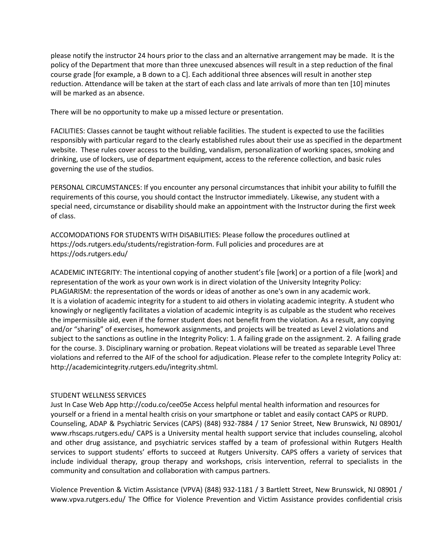please notify the instructor 24 hours prior to the class and an alternative arrangement may be made. It is the policy of the Department that more than three unexcused absences will result in a step reduction of the final course grade [for example, a B down to a C]. Each additional three absences will result in another step reduction. Attendance will be taken at the start of each class and late arrivals of more than ten [10] minutes will be marked as an absence.

There will be no opportunity to make up a missed lecture or presentation.

FACILITIES: Classes cannot be taught without reliable facilities. The student is expected to use the facilities responsibly with particular regard to the clearly established rules about their use as specified in the department website. These rules cover access to the building, vandalism, personalization of working spaces, smoking and drinking, use of lockers, use of department equipment, access to the reference collection, and basic rules governing the use of the studios.

PERSONAL CIRCUMSTANCES: If you encounter any personal circumstances that inhibit your ability to fulfill the requirements of this course, you should contact the Instructor immediately. Likewise, any student with a special need, circumstance or disability should make an appointment with the Instructor during the first week of class.

ACCOMODATIONS FOR STUDENTS WITH DISABILITIES: Please follow the procedures outlined at https://ods.rutgers.edu/students/registration-form. Full policies and procedures are at https://ods.rutgers.edu/

ACADEMIC INTEGRITY: The intentional copying of another student's file [work] or a portion of a file [work] and representation of the work as your own work is in direct violation of the University Integrity Policy: PLAGIARISM: the representation of the words or ideas of another as one's own in any academic work. It is a violation of academic integrity for a student to aid others in violating academic integrity. A student who knowingly or negligently facilitates a violation of academic integrity is as culpable as the student who receives the impermissible aid, even if the former student does not benefit from the violation. As a result, any copying and/or "sharing" of exercises, homework assignments, and projects will be treated as Level 2 violations and subject to the sanctions as outline in the Integrity Policy: 1. A failing grade on the assignment. 2. A failing grade for the course. 3. Disciplinary warning or probation. Repeat violations will be treated as separable Level Three violations and referred to the AIF of the school for adjudication. Please refer to the complete Integrity Policy at: http://academicintegrity.rutgers.edu/integrity.shtml.

# STUDENT WELLNESS SERVICES

Just In Case Web App http://codu.co/cee05e Access helpful mental health information and resources for yourself or a friend in a mental health crisis on your smartphone or tablet and easily contact CAPS or RUPD. Counseling, ADAP & Psychiatric Services (CAPS) (848) 932-7884 / 17 Senior Street, New Brunswick, NJ 08901/ www.rhscaps.rutgers.edu/ CAPS is a University mental health support service that includes counseling, alcohol and other drug assistance, and psychiatric services staffed by a team of professional within Rutgers Health services to support students' efforts to succeed at Rutgers University. CAPS offers a variety of services that include individual therapy, group therapy and workshops, crisis intervention, referral to specialists in the community and consultation and collaboration with campus partners.

Violence Prevention & Victim Assistance (VPVA) (848) 932-1181 / 3 Bartlett Street, New Brunswick, NJ 08901 / www.vpva.rutgers.edu/ The Office for Violence Prevention and Victim Assistance provides confidential crisis